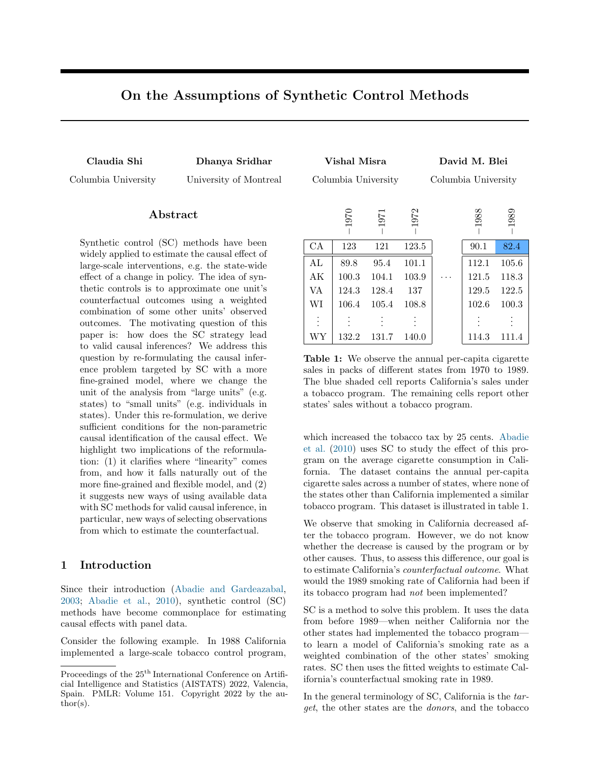# On the Assumptions of Synthetic Control Methods

<span id="page-0-0"></span>

Claudia Shi Dhanya Sridhar Vishal Misra David M. Blei Columbia University University of Montreal Columbia University Columbia University −1970 −1971 −1972 −1988 −1989  $\text{CA}$  | 123 121 123.5 | 90.1 82.4 AL | 89.8 95.4 101.1 | 112.1 105.6 AK | 100.3 104.1 103.9 |  $\cdots$  | 121.5 118.3 VA | 124.3 128.4 137 | 129.5 122.5 WI | 106.4 105.4 108.8 | 102.6 100.3 . . . . . . . . . . . . . . . . . .

## ${\rm Abstract}$

Synthetic control (SC) methods have been widely applied to estimate the causal effect of large-scale interventions, e.g. the state-wide effect of a change in policy. The idea of synthetic controls is to approximate one unit's counterfactual outcomes using a weighted combination of some other units' observed outcomes. The motivating question of this paper is: how does the SC strategy lead to valid causal inferences? We address this question by re-formulating the causal inference problem targeted by SC with a more fine-grained model, where we change the unit of the analysis from "large units" (e.g. states) to "small units" (e.g. individuals in states). Under this re-formulation, we derive sufficient conditions for the non-parametric causal identification of the causal effect. We highlight two implications of the reformulation: (1) it clarifies where "linearity" comes from, and how it falls naturally out of the more fine-grained and flexible model, and (2) it suggests new ways of using available data with SC methods for valid causal inference, in particular, new ways of selecting observations from which to estimate the counterfactual.

## 1 Introduction

Since their introduction [\(Abadie and Gardeazabal,](#page-9-0) [2003;](#page-9-0) [Abadie et al.,](#page-9-1) [2010\)](#page-9-1), synthetic control (SC) methods have become commonplace for estimating causal effects with panel data.

Consider the following example. In 1988 California implemented a large-scale tobacco control program, sales in packs of different states from 1970 to 1989. The blue shaded cell reports California's sales under a tobacco program. The remaining cells report other states' sales without a tobacco program.

WY | 132.2 131.7 140.0 | 114.3 111.4

Table 1: We observe the annual per-capita cigarette

which increased the tobacco tax by 25 cents. [Abadie](#page-9-1) [et al.](#page-9-1) [\(2010\)](#page-9-1) uses SC to study the effect of this program on the average cigarette consumption in California. The dataset contains the annual per-capita cigarette sales across a number of states, where none of the states other than California implemented a similar tobacco program. This dataset is illustrated in [table 1.](#page-0-0)

We observe that smoking in California decreased after the tobacco program. However, we do not know whether the decrease is caused by the program or by other causes. Thus, to assess this difference, our goal is to estimate California's counterfactual outcome. What would the 1989 smoking rate of California had been if its tobacco program had not been implemented?

SC is a method to solve this problem. It uses the data from before 1989—when neither California nor the other states had implemented the tobacco program to learn a model of California's smoking rate as a weighted combination of the other states' smoking rates. SC then uses the fitted weights to estimate California's counterfactual smoking rate in 1989.

In the general terminology of SC, California is the target, the other states are the donors, and the tobacco

Proceedings of the 25<sup>th</sup> International Conference on Artificial Intelligence and Statistics (AISTATS) 2022, Valencia, Spain. PMLR: Volume 151. Copyright 2022 by the au- $\text{thor}(s)$ .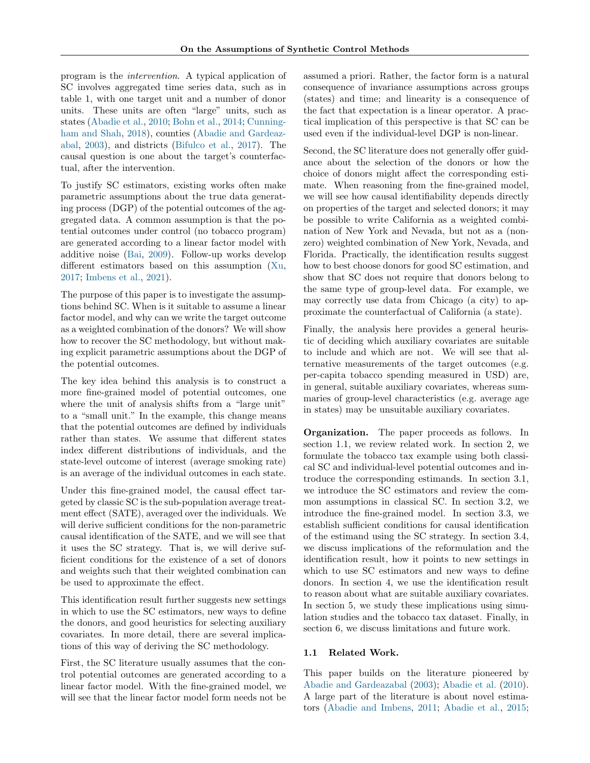program is the intervention. A typical application of SC involves aggregated time series data, such as in [table 1,](#page-0-0) with one target unit and a number of donor units. These units are often "large" units, such as states [\(Abadie et al.,](#page-9-1) [2010;](#page-9-1) [Bohn et al.,](#page-9-2) [2014;](#page-9-2) [Cunning](#page-9-3)[ham and Shah,](#page-9-3) [2018\)](#page-9-3), counties [\(Abadie and Gardeaz](#page-9-0)[abal,](#page-9-0) [2003\)](#page-9-0), and districts [\(Bifulco et al.,](#page-9-4) [2017\)](#page-9-4). The causal question is one about the target's counterfactual, after the intervention.

To justify SC estimators, existing works often make parametric assumptions about the true data generating process (DGP) of the potential outcomes of the aggregated data. A common assumption is that the potential outcomes under control (no tobacco program) are generated according to a linear factor model with additive noise [\(Bai,](#page-9-5) [2009\)](#page-9-5). Follow-up works develop different estimators based on this assumption [\(Xu,](#page-10-0) [2017;](#page-10-0) [Imbens et al.,](#page-9-6) [2021\)](#page-9-6).

The purpose of this paper is to investigate the assumptions behind SC. When is it suitable to assume a linear factor model, and why can we write the target outcome as a weighted combination of the donors? We will show how to recover the SC methodology, but without making explicit parametric assumptions about the DGP of the potential outcomes.

The key idea behind this analysis is to construct a more fine-grained model of potential outcomes, one where the unit of analysis shifts from a "large unit" to a "small unit." In the example, this change means that the potential outcomes are defined by individuals rather than states. We assume that different states index different distributions of individuals, and the state-level outcome of interest (average smoking rate) is an average of the individual outcomes in each state.

Under this fine-grained model, the causal effect targeted by classic SC is the sub-population average treatment effect (SATE), averaged over the individuals. We will derive sufficient conditions for the non-parametric causal identification of the SATE, and we will see that it uses the SC strategy. That is, we will derive sufficient conditions for the existence of a set of donors and weights such that their weighted combination can be used to approximate the effect.

This identification result further suggests new settings in which to use the SC estimators, new ways to define the donors, and good heuristics for selecting auxiliary covariates. In more detail, there are several implications of this way of deriving the SC methodology.

First, the SC literature usually assumes that the control potential outcomes are generated according to a linear factor model. With the fine-grained model, we will see that the linear factor model form needs not be assumed a priori. Rather, the factor form is a natural consequence of invariance assumptions across groups (states) and time; and linearity is a consequence of the fact that expectation is a linear operator. A practical implication of this perspective is that SC can be used even if the individual-level DGP is non-linear.

Second, the SC literature does not generally offer guidance about the selection of the donors or how the choice of donors might affect the corresponding estimate. When reasoning from the fine-grained model, we will see how causal identifiability depends directly on properties of the target and selected donors; it may be possible to write California as a weighted combination of New York and Nevada, but not as a (nonzero) weighted combination of New York, Nevada, and Florida. Practically, the identification results suggest how to best choose donors for good SC estimation, and show that SC does not require that donors belong to the same type of group-level data. For example, we may correctly use data from Chicago (a city) to approximate the counterfactual of California (a state).

Finally, the analysis here provides a general heuristic of deciding which auxiliary covariates are suitable to include and which are not. We will see that alternative measurements of the target outcomes (e.g. per-capita tobacco spending measured in USD) are, in general, suitable auxiliary covariates, whereas summaries of group-level characteristics (e.g. average age in states) may be unsuitable auxiliary covariates.

Organization. The paper proceeds as follows. In [section 1.1,](#page-1-0) we review related work. In [section 2,](#page-2-0) we formulate the tobacco tax example using both classical SC and individual-level potential outcomes and introduce the corresponding estimands. In [section 3.1,](#page-3-0) we introduce the SC estimators and review the common assumptions in classical SC. In [section 3.2,](#page-3-1) we introduce the fine-grained model. In [section 3.3,](#page-4-0) we establish sufficient conditions for causal identification of the estimand using the SC strategy. In [section 3.4,](#page-5-0) we discuss implications of the reformulation and the identification result, how it points to new settings in which to use SC estimators and new ways to define donors. In [section 4,](#page-6-0) we use the identification result to reason about what are suitable auxiliary covariates. In [section 5,](#page-6-1) we study these implications using simulation studies and the tobacco tax dataset. Finally, in [section 6,](#page-8-0) we discuss limitations and future work.

### <span id="page-1-0"></span>1.1 Related Work.

This paper builds on the literature pioneered by [Abadie and Gardeazabal](#page-9-0) [\(2003\)](#page-9-0); [Abadie et al.](#page-9-1) [\(2010\)](#page-9-1). A large part of the literature is about novel estimators [\(Abadie and Imbens,](#page-9-7) [2011;](#page-9-7) [Abadie et al.,](#page-9-8) [2015;](#page-9-8)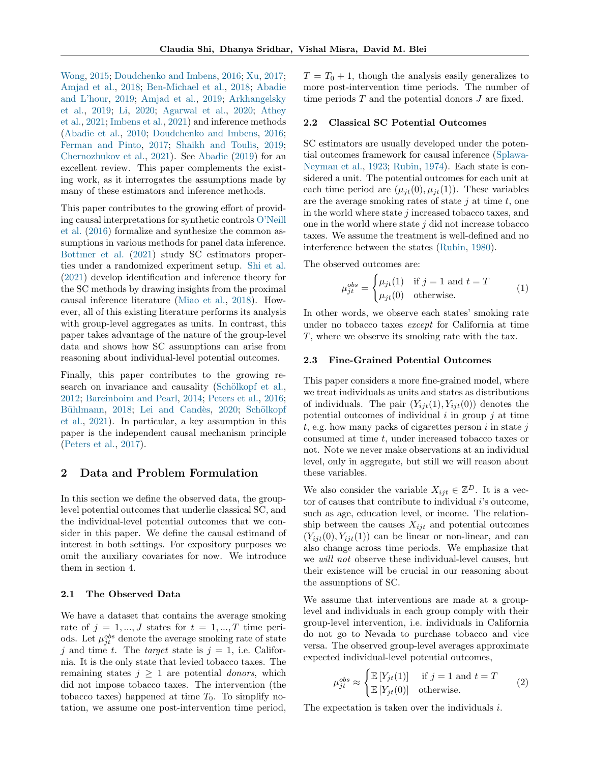[Wong,](#page-10-1) [2015;](#page-10-1) [Doudchenko and Imbens,](#page-9-9) [2016;](#page-9-9) [Xu,](#page-10-0) [2017;](#page-10-0) [Amjad et al.,](#page-9-10) [2018;](#page-9-10) [Ben-Michael et al.,](#page-9-11) [2018;](#page-9-11) [Abadie](#page-9-12) [and L'hour,](#page-9-12) [2019;](#page-9-12) [Amjad et al.,](#page-9-13) [2019;](#page-9-13) [Arkhangelsky](#page-9-14) [et al.,](#page-9-14) [2019;](#page-9-14) [Li,](#page-10-2) [2020;](#page-10-2) [Agarwal et al.,](#page-9-15) [2020;](#page-9-15) [Athey](#page-9-16) [et al.,](#page-9-16) [2021;](#page-9-16) [Imbens et al.,](#page-9-6) [2021\)](#page-9-6) and inference methods [\(Abadie et al.,](#page-9-1) [2010;](#page-9-1) [Doudchenko and Imbens,](#page-9-9) [2016;](#page-9-9) [Ferman and Pinto,](#page-9-17) [2017;](#page-9-17) [Shaikh and Toulis,](#page-10-3) [2019;](#page-10-3) [Chernozhukov et al.,](#page-9-18) [2021\)](#page-9-18). See [Abadie](#page-9-19) [\(2019\)](#page-9-19) for an excellent review. This paper complements the existing work, as it interrogates the assumptions made by many of these estimators and inference methods.

This paper contributes to the growing effort of providing causal interpretations for synthetic controls [O'Neill](#page-10-4) [et al.](#page-10-4) [\(2016\)](#page-10-4) formalize and synthesize the common assumptions in various methods for panel data inference. [Bottmer et al.](#page-9-20) [\(2021\)](#page-9-20) study SC estimators properties under a randomized experiment setup. [Shi et al.](#page-10-5) [\(2021\)](#page-10-5) develop identification and inference theory for the SC methods by drawing insights from the proximal causal inference literature [\(Miao et al.,](#page-10-6) [2018\)](#page-10-6). However, all of this existing literature performs its analysis with group-level aggregates as units. In contrast, this paper takes advantage of the nature of the group-level data and shows how SC assumptions can arise from reasoning about individual-level potential outcomes.

Finally, this paper contributes to the growing research on invariance and causality (Schölkopf et al., [2012;](#page-10-7) [Bareinboim and Pearl,](#page-9-21) [2014;](#page-9-21) [Peters et al.,](#page-10-8) [2016;](#page-10-8) Bühlmann, [2018;](#page-9-22) Lei and Candès, [2020;](#page-9-23) Schölkopf [et al.,](#page-10-9) [2021\)](#page-10-9). In particular, a key assumption in this paper is the independent causal mechanism principle [\(Peters et al.,](#page-10-10) [2017\)](#page-10-10).

## <span id="page-2-0"></span>2 Data and Problem Formulation

In this section we define the observed data, the grouplevel potential outcomes that underlie classical SC, and the individual-level potential outcomes that we consider in this paper. We define the causal estimand of interest in both settings. For expository purposes we omit the auxiliary covariates for now. We introduce them in [section 4.](#page-6-0)

### 2.1 The Observed Data

We have a dataset that contains the average smoking rate of  $j = 1, ..., J$  states for  $t = 1, ..., T$  time periods. Let  $\mu_{jt}^{obs}$  denote the average smoking rate of state j and time t. The target state is  $j = 1$ , i.e. California. It is the only state that levied tobacco taxes. The remaining states  $j \geq 1$  are potential *donors*, which did not impose tobacco taxes. The intervention (the tobacco taxes) happened at time  $T_0$ . To simplify notation, we assume one post-intervention time period,  $T = T_0 + 1$ , though the analysis easily generalizes to more post-intervention time periods. The number of time periods  $T$  and the potential donors  $J$  are fixed.

### 2.2 Classical SC Potential Outcomes

SC estimators are usually developed under the potential outcomes framework for causal inference [\(Splawa-](#page-10-11)[Neyman et al.,](#page-10-11) [1923;](#page-10-11) [Rubin,](#page-10-12) [1974\)](#page-10-12). Each state is considered a unit. The potential outcomes for each unit at each time period are  $(\mu_{it}(0), \mu_{it}(1))$ . These variables are the average smoking rates of state  $j$  at time  $t$ , one in the world where state  $j$  increased tobacco taxes, and one in the world where state  $j$  did not increase tobacco taxes. We assume the treatment is well-defined and no interference between the states [\(Rubin,](#page-10-13) [1980\)](#page-10-13).

The observed outcomes are:

$$
\mu_{jt}^{obs} = \begin{cases} \mu_{jt}(1) & \text{if } j = 1 \text{ and } t = T \\ \mu_{jt}(0) & \text{otherwise.} \end{cases}
$$
 (1)

In other words, we observe each states' smoking rate under no tobacco taxes except for California at time T, where we observe its smoking rate with the tax.

### <span id="page-2-1"></span>2.3 Fine-Grained Potential Outcomes

This paper considers a more fine-grained model, where we treat individuals as units and states as distributions of individuals. The pair  $(Y_{iit}(1), Y_{iit}(0))$  denotes the potential outcomes of individual  $i$  in group  $j$  at time t, e.g. how many packs of cigarettes person  $i$  in state  $j$ consumed at time t, under increased tobacco taxes or not. Note we never make observations at an individual level, only in aggregate, but still we will reason about these variables.

We also consider the variable  $X_{ijt} \in \mathbb{Z}^D$ . It is a vector of causes that contribute to individual  $i$ 's outcome, such as age, education level, or income. The relationship between the causes  $X_{i,jt}$  and potential outcomes  $(Y_{ijt}(0), Y_{ijt}(1))$  can be linear or non-linear, and can also change across time periods. We emphasize that we will not observe these individual-level causes, but their existence will be crucial in our reasoning about the assumptions of SC.

We assume that interventions are made at a grouplevel and individuals in each group comply with their group-level intervention, i.e. individuals in California do not go to Nevada to purchase tobacco and vice versa. The observed group-level averages approximate expected individual-level potential outcomes,

$$
\mu_{jt}^{obs} \approx \begin{cases} \mathbb{E}\left[Y_{jt}(1)\right] & \text{if } j = 1 \text{ and } t = T\\ \mathbb{E}\left[Y_{jt}(0)\right] & \text{otherwise.} \end{cases}
$$
 (2)

The expectation is taken over the individuals i.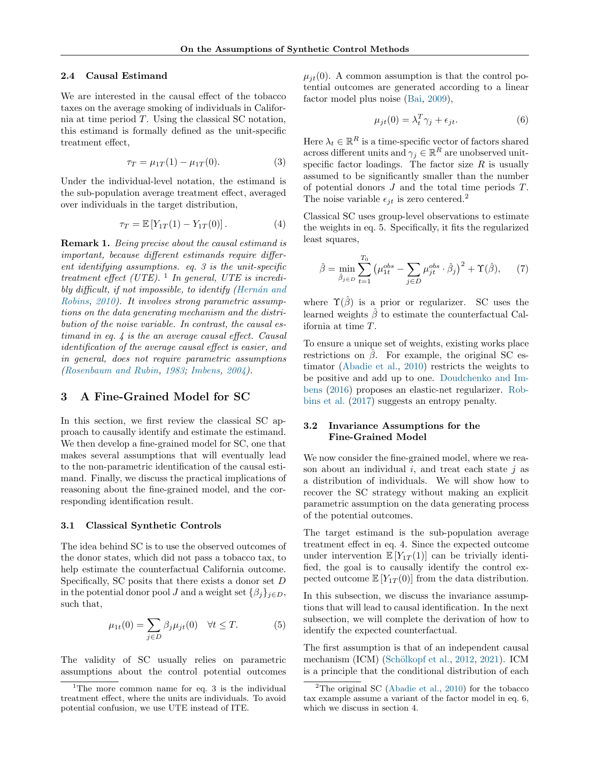### 2.4 Causal Estimand

We are interested in the causal effect of the tobacco taxes on the average smoking of individuals in California at time period T. Using the classical SC notation, this estimand is formally defined as the unit-specific treatment effect,

$$
\tau_T = \mu_{1T}(1) - \mu_{1T}(0). \tag{3}
$$

Under the individual-level notation, the estimand is the sub-population average treatment effect, averaged over individuals in the target distribution,

$$
\tau_T = \mathbb{E}\left[Y_{1T}(1) - Y_{1T}(0)\right].\tag{4}
$$

<span id="page-3-8"></span>Remark 1. Being precise about the causal estimand is important, because different estimands require different identifying assumptions. [eq. 3](#page-3-2) is the unit-specific treatment effect (UTE). <sup>[1](#page-3-3)</sup> In general, UTE is incredibly difficult, if not impossible, to identify  $(Hernán and$ [Robins,](#page-9-24) [2010\)](#page-9-24). It involves strong parametric assumptions on the data generating mechanism and the distribution of the noise variable. In contrast, the causal estimand in [eq. 4](#page-3-4) is the an average causal effect. Causal identification of the average causal effect is easier, and in general, does not require parametric assumptions [\(Rosenbaum and Rubin,](#page-10-14) [1983;](#page-10-14) [Imbens,](#page-9-25) [2004\)](#page-9-25).

## <span id="page-3-9"></span>3 A Fine-Grained Model for SC

In this section, we first review the classical SC approach to causally identify and estimate the estimand. We then develop a fine-grained model for SC, one that makes several assumptions that will eventually lead to the non-parametric identification of the causal estimand. Finally, we discuss the practical implications of reasoning about the fine-grained model, and the corresponding identification result.

#### <span id="page-3-0"></span>3.1 Classical Synthetic Controls

The idea behind SC is to use the observed outcomes of the donor states, which did not pass a tobacco tax, to help estimate the counterfactual California outcome. Specifically, SC posits that there exists a donor set  $D$ in the potential donor pool J and a weight set  $\{\beta_j\}_{j\in D}$ , such that,

$$
\mu_{1t}(0) = \sum_{j \in D} \beta_j \mu_{jt}(0) \quad \forall t \le T.
$$
 (5)

The validity of SC usually relies on parametric assumptions about the control potential outcomes  $\mu_{it}(0)$ . A common assumption is that the control potential outcomes are generated according to a linear factor model plus noise [\(Bai,](#page-9-5) [2009\)](#page-9-5),

<span id="page-3-7"></span>
$$
\mu_{jt}(0) = \lambda_t^T \gamma_j + \epsilon_{jt}.
$$
\n(6)

<span id="page-3-2"></span>Here  $\lambda_t \in \mathbb{R}^R$  is a time-specific vector of factors shared across different units and  $\gamma_j \in \mathbb{R}^R$  are unobserved unitspecific factor loadings. The factor size  $R$  is usually assumed to be significantly smaller than the number of potential donors J and the total time periods T. The noise variable  $\epsilon_{jt}$  is zero centered.<sup>[2](#page-3-5)</sup>

<span id="page-3-4"></span>Classical SC uses group-level observations to estimate the weights in [eq. 5.](#page-3-6) Specifically, it fits the regularized least squares,

$$
\hat{\beta} = \min_{\hat{\beta}_j \in D} \sum_{t=1}^{T_0} \left( \mu_{1t}^{obs} - \sum_{j \in D} \mu_{jt}^{obs} \cdot \hat{\beta}_j \right)^2 + \Upsilon(\hat{\beta}), \tag{7}
$$

where  $\Upsilon(\hat{\beta})$  is a prior or regularizer. SC uses the learned weights  $\hat{\beta}$  to estimate the counterfactual California at time T.

To ensure a unique set of weights, existing works place restrictions on  $\beta$ . For example, the original SC estimator [\(Abadie et al.,](#page-9-1) [2010\)](#page-9-1) restricts the weights to be positive and add up to one. [Doudchenko and Im](#page-9-9)[bens](#page-9-9) [\(2016\)](#page-9-9) proposes an elastic-net regularizer. [Rob](#page-10-15)[bins et al.](#page-10-15) [\(2017\)](#page-10-15) suggests an entropy penalty.

## <span id="page-3-1"></span>3.2 Invariance Assumptions for the Fine-Grained Model

We now consider the fine-grained model, where we reason about an individual  $i$ , and treat each state  $j$  as a distribution of individuals. We will show how to recover the SC strategy without making an explicit parametric assumption on the data generating process of the potential outcomes.

The target estimand is the sub-population average treatment effect in [eq. 4.](#page-3-4) Since the expected outcome under intervention  $\mathbb{E}[Y_{1T}(1)]$  can be trivially identified, the goal is to causally identify the control expected outcome  $\mathbb{E}[Y_{1T}(0)]$  from the data distribution.

<span id="page-3-6"></span>In this subsection, we discuss the invariance assumptions that will lead to causal identification. In the next subsection, we will complete the derivation of how to identify the expected counterfactual.

The first assumption is that of an independent causal mechanism (ICM) (Schölkopf et al., [2012,](#page-10-7) [2021\)](#page-10-9). ICM is a principle that the conditional distribution of each

<span id="page-3-3"></span><sup>&</sup>lt;sup>1</sup>The more common name for [eq. 3](#page-3-2) is the individual treatment effect, where the units are individuals. To avoid potential confusion, we use UTE instead of ITE.

<span id="page-3-5"></span><sup>&</sup>lt;sup>2</sup>The original SC [\(Abadie et al.,](#page-9-1) [2010\)](#page-9-1) for the tobacco tax example assume a variant of the factor model in [eq. 6,](#page-3-7) which we discuss in [section 4.](#page-6-0)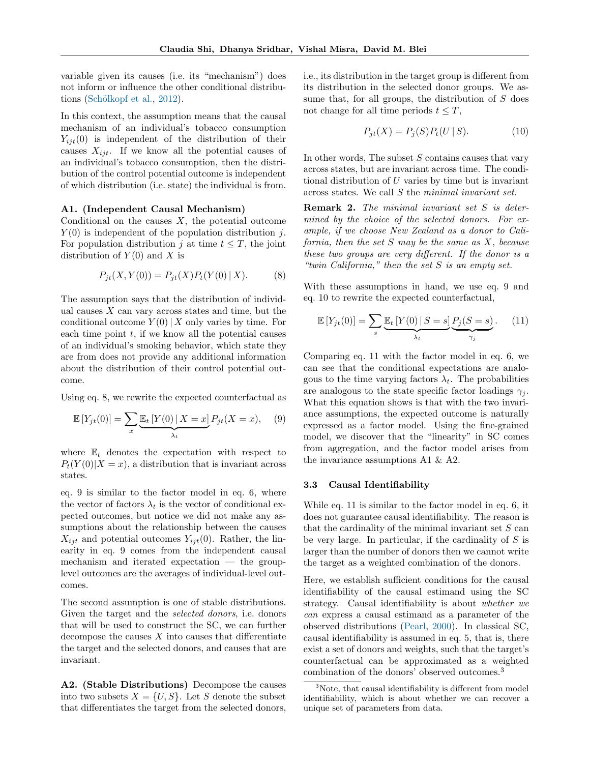variable given its causes (i.e. its "mechanism") does not inform or influence the other conditional distribu-tions (Schölkopf et al., [2012\)](#page-10-7).

In this context, the assumption means that the causal mechanism of an individual's tobacco consumption  $Y_{iit}(0)$  is independent of the distribution of their causes  $X_{i,i}$ . If we know all the potential causes of an individual's tobacco consumption, then the distribution of the control potential outcome is independent of which distribution (i.e. state) the individual is from.

#### A1. (Independent Causal Mechanism)

Conditional on the causes  $X$ , the potential outcome  $Y(0)$  is independent of the population distribution j. For population distribution j at time  $t \leq T$ , the joint distribution of  $Y(0)$  and X is

<span id="page-4-1"></span>
$$
P_{jt}(X, Y(0)) = P_{jt}(X)P_t(Y(0) | X).
$$
 (8)

The assumption says that the distribution of individual causes  $X$  can vary across states and time, but the conditional outcome  $Y(0) | X$  only varies by time. For each time point  $t$ , if we know all the potential causes of an individual's smoking behavior, which state they are from does not provide any additional information about the distribution of their control potential outcome.

Using [eq. 8,](#page-4-1) we rewrite the expected counterfactual as

$$
\mathbb{E}\left[Y_{jt}(0)\right] = \sum_{x} \underbrace{\mathbb{E}_t\left[Y(0)\,|\,X=x\right]}_{\lambda_t} P_{jt}(X=x),\tag{9}
$$

where  $\mathbb{E}_t$  denotes the expectation with respect to  $P_t(Y(0)|X=x)$ , a distribution that is invariant across states.

[eq. 9](#page-4-2) is similar to the factor model in [eq. 6,](#page-3-7) where the vector of factors  $\lambda_t$  is the vector of conditional expected outcomes, but notice we did not make any assumptions about the relationship between the causes  $X_{ijt}$  and potential outcomes  $Y_{ijt}(0)$ . Rather, the linearity in [eq. 9](#page-4-2) comes from the independent causal mechanism and iterated expectation — the grouplevel outcomes are the averages of individual-level outcomes.

The second assumption is one of stable distributions. Given the target and the selected donors, i.e. donors that will be used to construct the SC, we can further decompose the causes  $X$  into causes that differentiate the target and the selected donors, and causes that are invariant.

A2. (Stable Distributions) Decompose the causes into two subsets  $X = \{U, S\}$ . Let S denote the subset that differentiates the target from the selected donors,

i.e., its distribution in the target group is different from its distribution in the selected donor groups. We assume that, for all groups, the distribution of  $S$  does not change for all time periods  $t \leq T$ ,

<span id="page-4-3"></span>
$$
P_{jt}(X) = P_j(S)P_t(U \,|\, S). \tag{10}
$$

In other words, The subset  $S$  contains causes that vary across states, but are invariant across time. The conditional distribution of  $U$  varies by time but is invariant across states. We call S the minimal invariant set.

<span id="page-4-6"></span>Remark 2. The minimal invariant set S is determined by the choice of the selected donors. For example, if we choose New Zealand as a donor to California, then the set  $S$  may be the same as  $X$ , because these two groups are very different. If the donor is a "twin California," then the set S is an empty set.

With these assumptions in hand, we use [eq. 9](#page-4-2) and [eq. 10](#page-4-3) to rewrite the expected counterfactual,

<span id="page-4-4"></span>
$$
\mathbb{E}\left[Y_{jt}(0)\right] = \sum_{s} \underbrace{\mathbb{E}_t\left[Y(0) \mid S=s\right]}_{\lambda_t} \underbrace{P_j(S=s)}_{\gamma_j}.
$$
 (11)

<span id="page-4-2"></span>Comparing [eq. 11](#page-4-4) with the factor model in [eq. 6,](#page-3-7) we can see that the conditional expectations are analogous to the time varying factors  $\lambda_t$ . The probabilities are analogous to the state specific factor loadings  $\gamma_i$ . What this equation shows is that with the two invariance assumptions, the expected outcome is naturally expressed as a factor model. Using the fine-grained model, we discover that the "linearity" in SC comes from aggregation, and the factor model arises from the invariance assumptions A1 & A2.

#### <span id="page-4-0"></span>3.3 Causal Identifiability

While [eq. 11](#page-4-4) is similar to the factor model in [eq. 6,](#page-3-7) it does not guarantee causal identifiability. The reason is that the cardinality of the minimal invariant set  $S$  can be very large. In particular, if the cardinality of  $S$  is larger than the number of donors then we cannot write the target as a weighted combination of the donors.

Here, we establish sufficient conditions for the causal identifiability of the causal estimand using the SC strategy. Causal identifiability is about whether we can express a causal estimand as a parameter of the observed distributions [\(Pearl,](#page-10-16) [2000\)](#page-10-16). In classical SC, causal identifiability is assumed in [eq. 5,](#page-3-6) that is, there exist a set of donors and weights, such that the target's counterfactual can be approximated as a weighted combination of the donors' observed outcomes.[3](#page-4-5)

<span id="page-4-5"></span><sup>&</sup>lt;sup>3</sup>Note, that causal identifiability is different from model identifiability, which is about whether we can recover a unique set of parameters from data.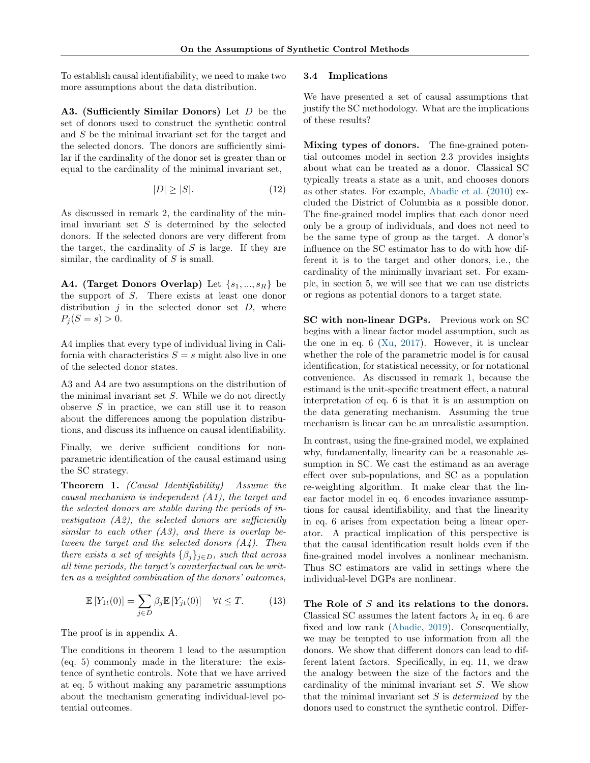To establish causal identifiability, we need to make two more assumptions about the data distribution.

A3. (Sufficiently Similar Donors) Let D be the set of donors used to construct the synthetic control and S be the minimal invariant set for the target and the selected donors. The donors are sufficiently similar if the cardinality of the donor set is greater than or equal to the cardinality of the minimal invariant set,

$$
|D| \ge |S|.\tag{12}
$$

As discussed in [remark 2,](#page-4-6) the cardinality of the minimal invariant set  $S$  is determined by the selected donors. If the selected donors are very different from the target, the cardinality of  $S$  is large. If they are similar, the cardinality of  $S$  is small.

A4. (Target Donors Overlap) Let  $\{s_1, ..., s_R\}$  be the support of S. There exists at least one donor distribution  $j$  in the selected donor set  $D$ , where  $P_i (S = s) > 0.$ 

A4 implies that every type of individual living in California with characteristics  $S = s$  might also live in one of the selected donor states.

A3 and A4 are two assumptions on the distribution of the minimal invariant set  $S$ . While we do not directly observe  $S$  in practice, we can still use it to reason about the differences among the population distributions, and discuss its influence on causal identifiability.

Finally, we derive sufficient conditions for nonparametric identification of the causal estimand using the SC strategy.

<span id="page-5-1"></span>Theorem 1. (Causal Identifiability) Assume the causal mechanism is independent (A1), the target and the selected donors are stable during the periods of investigation  $(A2)$ , the selected donors are sufficiently similar to each other  $(A3)$ , and there is overlap between the target and the selected donors  $(A_4)$ . Then there exists a set of weights  $\{\beta_j\}_{j\in D}$ , such that across all time periods, the target's counterfactual can be written as a weighted combination of the donors' outcomes,

<span id="page-5-2"></span>
$$
\mathbb{E}\left[Y_{1t}(0)\right] = \sum_{j\in D} \beta_j \mathbb{E}\left[Y_{jt}(0)\right] \quad \forall t \leq T. \tag{13}
$$

The proof is in [appendix A.](#page-11-0)

The conditions in [theorem 1](#page-5-1) lead to the assumption [\(eq. 5\)](#page-3-6) commonly made in the literature: the existence of synthetic controls. Note that we have arrived at [eq. 5](#page-3-6) without making any parametric assumptions about the mechanism generating individual-level potential outcomes.

#### <span id="page-5-0"></span>3.4 Implications

We have presented a set of causal assumptions that justify the SC methodology. What are the implications of these results?

Mixing types of donors. The fine-grained potential outcomes model in [section 2.3](#page-2-1) provides insights about what can be treated as a donor. Classical SC typically treats a state as a unit, and chooses donors as other states. For example, [Abadie et al.](#page-9-1) [\(2010\)](#page-9-1) excluded the District of Columbia as a possible donor. The fine-grained model implies that each donor need only be a group of individuals, and does not need to be the same type of group as the target. A donor's influence on the SC estimator has to do with how different it is to the target and other donors, i.e., the cardinality of the minimally invariant set. For example, in [section 5,](#page-6-1) we will see that we can use districts or regions as potential donors to a target state.

SC with non-linear DGPs. Previous work on SC begins with a linear factor model assumption, such as the one in eq.  $6$  [\(Xu,](#page-10-0) [2017\)](#page-10-0). However, it is unclear whether the role of the parametric model is for causal identification, for statistical necessity, or for notational convenience. As discussed in [remark 1,](#page-3-8) because the estimand is the unit-specific treatment effect, a natural interpretation of [eq. 6](#page-3-7) is that it is an assumption on the data generating mechanism. Assuming the true mechanism is linear can be an unrealistic assumption.

In contrast, using the fine-grained model, we explained why, fundamentally, linearity can be a reasonable assumption in SC. We cast the estimand as an average effect over sub-populations, and SC as a population re-weighting algorithm. It make clear that the linear factor model in [eq. 6](#page-3-7) encodes invariance assumptions for causal identifiability, and that the linearity in [eq. 6](#page-3-7) arises from expectation being a linear operator. A practical implication of this perspective is that the causal identification result holds even if the fine-grained model involves a nonlinear mechanism. Thus SC estimators are valid in settings where the individual-level DGPs are nonlinear.

The Role of S and its relations to the donors. Classical SC assumes the latent factors  $\lambda_t$  in [eq. 6](#page-3-7) are fixed and low rank [\(Abadie,](#page-9-19) [2019\)](#page-9-19). Consequentially, we may be tempted to use information from all the donors. We show that different donors can lead to different latent factors. Specifically, in [eq. 11,](#page-4-4) we draw the analogy between the size of the factors and the cardinality of the minimal invariant set S. We show that the minimal invariant set  $S$  is *determined* by the donors used to construct the synthetic control. Differ-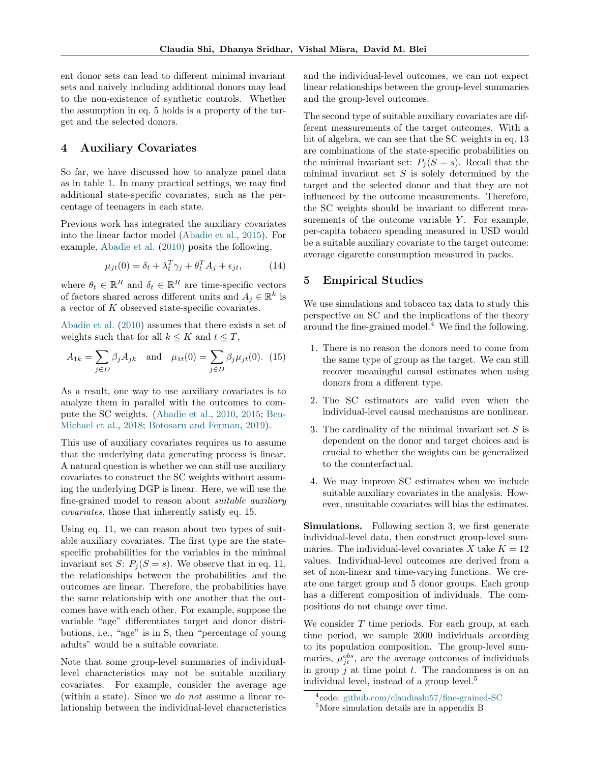ent donor sets can lead to different minimal invariant sets and naively including additional donors may lead to the non-existence of synthetic controls. Whether the assumption in [eq. 5](#page-3-6) holds is a property of the target and the selected donors.

## <span id="page-6-0"></span>4 Auxiliary Covariates

So far, we have discussed how to analyze panel data as in [table 1.](#page-0-0) In many practical settings, we may find additional state-specific covariates, such as the percentage of teenagers in each state.

Previous work has integrated the auxiliary covariates into the linear factor model [\(Abadie et al.,](#page-9-8) [2015\)](#page-9-8). For example, [Abadie et al.](#page-9-1) [\(2010\)](#page-9-1) posits the following,

$$
\mu_{jt}(0) = \delta_t + \lambda_t^T \gamma_j + \theta_t^T A_j + \epsilon_{jt}, \qquad (14)
$$

where  $\theta_t \in \mathbb{R}^R$  and  $\delta_t \in \mathbb{R}^R$  are time-specific vectors of factors shared across different units and  $A_j \in \mathbb{R}^k$  is a vector of K observed state-specific covariates.

[Abadie et al.](#page-9-1) [\(2010\)](#page-9-1) assumes that there exists a set of weights such that for all  $k \leq K$  and  $t \leq T$ ,

$$
A_{1k} = \sum_{j \in D} \beta_j A_{jk}
$$
 and  $\mu_{1t}(0) = \sum_{j \in D} \beta_j \mu_{jt}(0)$ . (15)

As a result, one way to use auxiliary covariates is to analyze them in parallel with the outcomes to compute the SC weights. [\(Abadie et al.,](#page-9-1) [2010,](#page-9-1) [2015;](#page-9-8) [Ben-](#page-9-11)[Michael et al.,](#page-9-11) [2018;](#page-9-11) [Botosaru and Ferman,](#page-9-26) [2019\)](#page-9-26).

This use of auxiliary covariates requires us to assume that the underlying data generating process is linear. A natural question is whether we can still use auxiliary covariates to construct the SC weights without assuming the underlying DGP is linear. Here, we will use the fine-grained model to reason about suitable auxiliary covariates, those that inherently satisfy [eq. 15.](#page-6-2)

Using [eq. 11,](#page-4-4) we can reason about two types of suitable auxiliary covariates. The first type are the statespecific probabilities for the variables in the minimal invariant set S:  $P_i(S = s)$ . We observe that in [eq. 11,](#page-4-4) the relationships between the probabilities and the outcomes are linear. Therefore, the probabilities have the same relationship with one another that the outcomes have with each other. For example, suppose the variable "age" differentiates target and donor distributions, i.e., "age" is in S, then "percentage of young adults" would be a suitable covariate.

Note that some group-level summaries of individuallevel characteristics may not be suitable auxiliary covariates. For example, consider the average age (within a state). Since we do not assume a linear relationship between the individual-level characteristics and the individual-level outcomes, we can not expect linear relationships between the group-level summaries and the group-level outcomes.

The second type of suitable auxiliary covariates are different measurements of the target outcomes. With a bit of algebra, we can see that the SC weights in [eq. 13](#page-5-2) are combinations of the state-specific probabilities on the minimal invariant set:  $P_i(S = s)$ . Recall that the minimal invariant set  $S$  is solely determined by the target and the selected donor and that they are not influenced by the outcome measurements. Therefore, the SC weights should be invariant to different measurements of the outcome variable  $Y$ . For example, per-capita tobacco spending measured in USD would be a suitable auxiliary covariate to the target outcome: average cigarette consumption measured in packs.

## <span id="page-6-1"></span>5 Empirical Studies

We use simulations and tobacco tax data to study this perspective on SC and the implications of the theory around the fine-grained model.[4](#page-6-3) We find the following.

- <span id="page-6-2"></span>1. There is no reason the donors need to come from the same type of group as the target. We can still recover meaningful causal estimates when using donors from a different type.
- 2. The SC estimators are valid even when the individual-level causal mechanisms are nonlinear.
- 3. The cardinality of the minimal invariant set  $S$  is dependent on the donor and target choices and is crucial to whether the weights can be generalized to the counterfactual.
- 4. We may improve SC estimates when we include suitable auxiliary covariates in the analysis. However, unsuitable covariates will bias the estimates.

Simulations. Following [section 3,](#page-3-9) we first generate individual-level data, then construct group-level summaries. The individual-level covariates X take  $K = 12$ values. Individual-level outcomes are derived from a set of non-linear and time-varying functions. We create one target group and 5 donor groups. Each group has a different composition of individuals. The compositions do not change over time.

We consider  $T$  time periods. For each group, at each time period, we sample 2000 individuals according to its population composition. The group-level summaries,  $\mu_{jt}^{obs}$ , are the average outcomes of individuals in group  $j$  at time point  $t$ . The randomness is on an individual level, instead of a group level.<sup>[5](#page-6-4)</sup>

<span id="page-6-4"></span><span id="page-6-3"></span><sup>4</sup> code: [github.com/claudiashi57/fine-grained-SC](https://github.com/claudiashi57/fine-grained-SC) <sup>5</sup>More simulation details are in [appendix B](#page-11-1)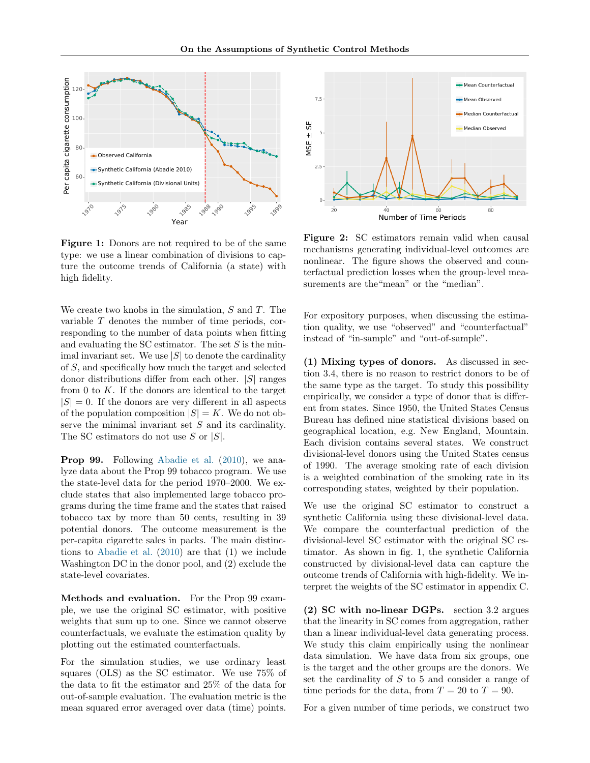<span id="page-7-0"></span>

Figure 1: Donors are not required to be of the same type: we use a linear combination of divisions to capture the outcome trends of California (a state) with high fidelity.

We create two knobs in the simulation,  $S$  and  $T$ . The variable T denotes the number of time periods, corresponding to the number of data points when fitting and evaluating the SC estimator. The set  $S$  is the minimal invariant set. We use  $|S|$  to denote the cardinality of S, and specifically how much the target and selected donor distributions differ from each other.  $|S|$  ranges from  $0$  to  $K$ . If the donors are identical to the target  $|S| = 0$ . If the donors are very different in all aspects of the population composition  $|S| = K$ . We do not observe the minimal invariant set  $S$  and its cardinality. The SC estimators do not use S or  $|S|$ .

Prop 99. Following [Abadie et al.](#page-9-1) [\(2010\)](#page-9-1), we analyze data about the Prop 99 tobacco program. We use the state-level data for the period 1970–2000. We exclude states that also implemented large tobacco programs during the time frame and the states that raised tobacco tax by more than 50 cents, resulting in 39 potential donors. The outcome measurement is the per-capita cigarette sales in packs. The main distinctions to [Abadie et al.](#page-9-1) [\(2010\)](#page-9-1) are that (1) we include Washington DC in the donor pool, and (2) exclude the state-level covariates.

Methods and evaluation. For the Prop 99 example, we use the original SC estimator, with positive weights that sum up to one. Since we cannot observe counterfactuals, we evaluate the estimation quality by plotting out the estimated counterfactuals.

For the simulation studies, we use ordinary least squares (OLS) as the SC estimator. We use 75% of the data to fit the estimator and 25% of the data for out-of-sample evaluation. The evaluation metric is the mean squared error averaged over data (time) points.

<span id="page-7-1"></span>

Figure 2: SC estimators remain valid when causal mechanisms generating individual-level outcomes are nonlinear. The figure shows the observed and counterfactual prediction losses when the group-level measurements are the "mean" or the "median".

For expository purposes, when discussing the estimation quality, we use "observed" and "counterfactual" instead of "in-sample" and "out-of-sample".

(1) Mixing types of donors. As discussed in [sec](#page-5-0)[tion 3.4,](#page-5-0) there is no reason to restrict donors to be of the same type as the target. To study this possibility empirically, we consider a type of donor that is different from states. Since 1950, the United States Census Bureau has defined nine statistical divisions based on geographical location, e.g. New England, Mountain. Each division contains several states. We construct divisional-level donors using the United States census of 1990. The average smoking rate of each division is a weighted combination of the smoking rate in its corresponding states, weighted by their population.

We use the original SC estimator to construct a synthetic California using these divisional-level data. We compare the counterfactual prediction of the divisional-level SC estimator with the original SC estimator. As shown in [fig. 1,](#page-7-0) the synthetic California constructed by divisional-level data can capture the outcome trends of California with high-fidelity. We interpret the weights of the SC estimator in [appendix C.](#page-12-0)

(2) SC with no-linear DGPs. [section 3.2](#page-3-1) argues that the linearity in SC comes from aggregation, rather than a linear individual-level data generating process. We study this claim empirically using the nonlinear data simulation. We have data from six groups, one is the target and the other groups are the donors. We set the cardinality of S to 5 and consider a range of time periods for the data, from  $T = 20$  to  $T = 90$ .

For a given number of time periods, we construct two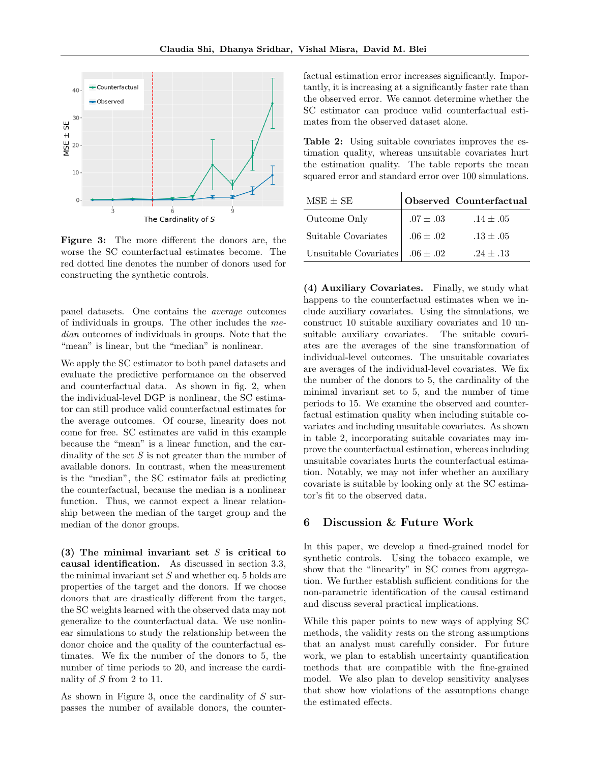<span id="page-8-1"></span>

Figure 3: The more different the donors are, the worse the SC counterfactual estimates become. The red dotted line denotes the number of donors used for constructing the synthetic controls.

panel datasets. One contains the average outcomes of individuals in groups. The other includes the median outcomes of individuals in groups. Note that the "mean" is linear, but the "median" is nonlinear.

We apply the SC estimator to both panel datasets and evaluate the predictive performance on the observed and counterfactual data. As shown in [fig. 2,](#page-7-1) when the individual-level DGP is nonlinear, the SC estimator can still produce valid counterfactual estimates for the average outcomes. Of course, linearity does not come for free. SC estimates are valid in this example because the "mean" is a linear function, and the cardinality of the set  $S$  is not greater than the number of available donors. In contrast, when the measurement is the "median", the SC estimator fails at predicting the counterfactual, because the median is a nonlinear function. Thus, we cannot expect a linear relationship between the median of the target group and the median of the donor groups.

(3) The minimal invariant set  $S$  is critical to causal identification. As discussed in [section 3.3,](#page-4-0) the minimal invariant set  $S$  and whether [eq. 5](#page-3-6) holds are properties of the target and the donors. If we choose donors that are drastically different from the target, the SC weights learned with the observed data may not generalize to the counterfactual data. We use nonlinear simulations to study the relationship between the donor choice and the quality of the counterfactual estimates. We fix the number of the donors to 5, the number of time periods to 20, and increase the cardinality of  $S$  from 2 to 11.

As shown in [Figure 3,](#page-8-1) once the cardinality of S surpasses the number of available donors, the counterfactual estimation error increases significantly. Importantly, it is increasing at a significantly faster rate than the observed error. We cannot determine whether the SC estimator can produce valid counterfactual estimates from the observed dataset alone.

<span id="page-8-2"></span>Table 2: Using suitable covariates improves the estimation quality, whereas unsuitable covariates hurt the estimation quality. The table reports the mean squared error and standard error over 100 simulations.

| $MSE + SE$            |               | Observed Counterfactual |
|-----------------------|---------------|-------------------------|
| Outcome Only          | $.07 \pm .03$ | $.14 \pm .05$           |
| Suitable Covariates   | $.06 \pm .02$ | $.13 \pm .05$           |
| Unsuitable Covariates | $.06 \pm .02$ | $.24 \pm .13$           |

(4) Auxiliary Covariates. Finally, we study what happens to the counterfactual estimates when we include auxiliary covariates. Using the simulations, we construct 10 suitable auxiliary covariates and 10 unsuitable auxiliary covariates. The suitable covariates are the averages of the sine transformation of individual-level outcomes. The unsuitable covariates are averages of the individual-level covariates. We fix the number of the donors to 5, the cardinality of the minimal invariant set to 5, and the number of time periods to 15. We examine the observed and counterfactual estimation quality when including suitable covariates and including unsuitable covariates. As shown in [table 2,](#page-8-2) incorporating suitable covariates may improve the counterfactual estimation, whereas including unsuitable covariates hurts the counterfactual estimation. Notably, we may not infer whether an auxiliary covariate is suitable by looking only at the SC estimator's fit to the observed data.

## <span id="page-8-0"></span>6 Discussion & Future Work

In this paper, we develop a fined-grained model for synthetic controls. Using the tobacco example, we show that the "linearity" in SC comes from aggregation. We further establish sufficient conditions for the non-parametric identification of the causal estimand and discuss several practical implications.

While this paper points to new ways of applying SC methods, the validity rests on the strong assumptions that an analyst must carefully consider. For future work, we plan to establish uncertainty quantification methods that are compatible with the fine-grained model. We also plan to develop sensitivity analyses that show how violations of the assumptions change the estimated effects.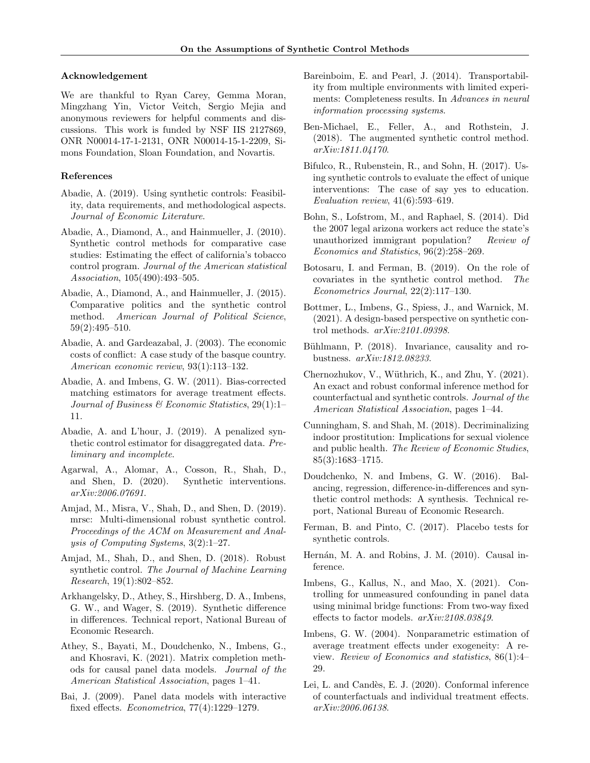### Acknowledgement

We are thankful to Ryan Carey, Gemma Moran, Mingzhang Yin, Victor Veitch, Sergio Mejia and anonymous reviewers for helpful comments and discussions. This work is funded by NSF IIS 2127869, ONR N00014-17-1-2131, ONR N00014-15-1-2209, Simons Foundation, Sloan Foundation, and Novartis.

## References

- <span id="page-9-19"></span>Abadie, A. (2019). Using synthetic controls: Feasibility, data requirements, and methodological aspects. Journal of Economic Literature.
- <span id="page-9-1"></span>Abadie, A., Diamond, A., and Hainmueller, J. (2010). Synthetic control methods for comparative case studies: Estimating the effect of california's tobacco control program. Journal of the American statistical Association, 105(490):493–505.
- <span id="page-9-8"></span>Abadie, A., Diamond, A., and Hainmueller, J. (2015). Comparative politics and the synthetic control method. American Journal of Political Science, 59(2):495–510.
- <span id="page-9-0"></span>Abadie, A. and Gardeazabal, J. (2003). The economic costs of conflict: A case study of the basque country. American economic review, 93(1):113–132.
- <span id="page-9-7"></span>Abadie, A. and Imbens, G. W. (2011). Bias-corrected matching estimators for average treatment effects. Journal of Business & Economic Statistics, 29(1):1– 11.
- <span id="page-9-12"></span>Abadie, A. and L'hour, J. (2019). A penalized synthetic control estimator for disaggregated data. Preliminary and incomplete.
- <span id="page-9-15"></span>Agarwal, A., Alomar, A., Cosson, R., Shah, D., and Shen, D. (2020). Synthetic interventions. arXiv:2006.07691.
- <span id="page-9-13"></span>Amjad, M., Misra, V., Shah, D., and Shen, D. (2019). mrsc: Multi-dimensional robust synthetic control. Proceedings of the ACM on Measurement and Analysis of Computing Systems, 3(2):1–27.
- <span id="page-9-10"></span>Amjad, M., Shah, D., and Shen, D. (2018). Robust synthetic control. The Journal of Machine Learning Research, 19(1):802–852.
- <span id="page-9-14"></span>Arkhangelsky, D., Athey, S., Hirshberg, D. A., Imbens, G. W., and Wager, S. (2019). Synthetic difference in differences. Technical report, National Bureau of Economic Research.
- <span id="page-9-16"></span>Athey, S., Bayati, M., Doudchenko, N., Imbens, G., and Khosravi, K. (2021). Matrix completion methods for causal panel data models. Journal of the American Statistical Association, pages 1–41.
- <span id="page-9-5"></span>Bai, J. (2009). Panel data models with interactive fixed effects. Econometrica, 77(4):1229–1279.
- <span id="page-9-21"></span>Bareinboim, E. and Pearl, J. (2014). Transportability from multiple environments with limited experiments: Completeness results. In Advances in neural information processing systems.
- <span id="page-9-11"></span>Ben-Michael, E., Feller, A., and Rothstein, J. (2018). The augmented synthetic control method. arXiv:1811.04170.
- <span id="page-9-4"></span>Bifulco, R., Rubenstein, R., and Sohn, H. (2017). Using synthetic controls to evaluate the effect of unique interventions: The case of say yes to education. Evaluation review, 41(6):593–619.
- <span id="page-9-2"></span>Bohn, S., Lofstrom, M., and Raphael, S. (2014). Did the 2007 legal arizona workers act reduce the state's unauthorized immigrant population? Review of Economics and Statistics, 96(2):258–269.
- <span id="page-9-26"></span>Botosaru, I. and Ferman, B. (2019). On the role of covariates in the synthetic control method. The Econometrics Journal, 22(2):117–130.
- <span id="page-9-20"></span>Bottmer, L., Imbens, G., Spiess, J., and Warnick, M. (2021). A design-based perspective on synthetic control methods. arXiv:2101.09398.
- <span id="page-9-22"></span>Bühlmann, P. (2018). Invariance, causality and robustness. arXiv:1812.08233.
- <span id="page-9-18"></span>Chernozhukov, V., Wüthrich, K., and Zhu, Y. (2021). An exact and robust conformal inference method for counterfactual and synthetic controls. Journal of the American Statistical Association, pages 1–44.
- <span id="page-9-3"></span>Cunningham, S. and Shah, M. (2018). Decriminalizing indoor prostitution: Implications for sexual violence and public health. The Review of Economic Studies, 85(3):1683–1715.
- <span id="page-9-9"></span>Doudchenko, N. and Imbens, G. W. (2016). Balancing, regression, difference-in-differences and synthetic control methods: A synthesis. Technical report, National Bureau of Economic Research.
- <span id="page-9-17"></span>Ferman, B. and Pinto, C. (2017). Placebo tests for synthetic controls.
- <span id="page-9-24"></span>Hernán, M. A. and Robins, J. M. (2010). Causal inference.
- <span id="page-9-6"></span>Imbens, G., Kallus, N., and Mao, X. (2021). Controlling for unmeasured confounding in panel data using minimal bridge functions: From two-way fixed effects to factor models. arXiv:2108.03849.
- <span id="page-9-25"></span>Imbens, G. W. (2004). Nonparametric estimation of average treatment effects under exogeneity: A review. Review of Economics and statistics, 86(1):4– 29.
- <span id="page-9-23"></span>Lei, L. and Candès, E. J. (2020). Conformal inference of counterfactuals and individual treatment effects. arXiv:2006.06138.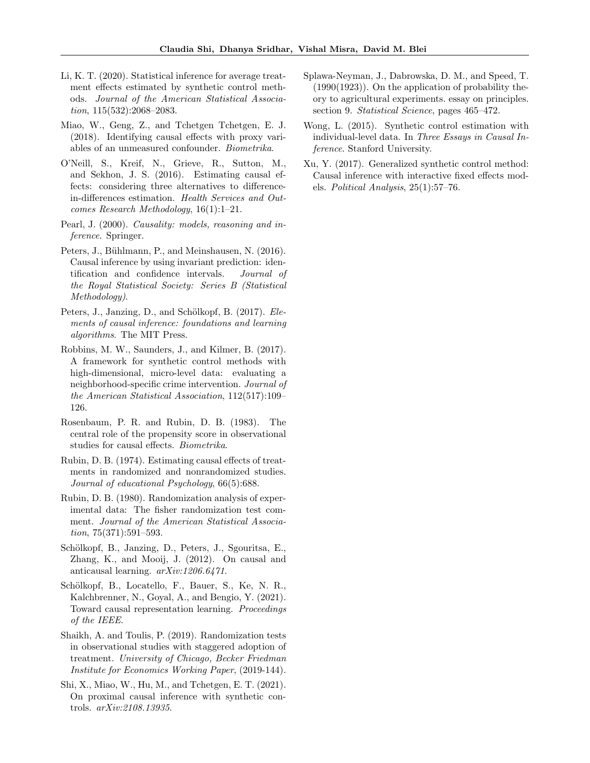- <span id="page-10-2"></span>Li, K. T. (2020). Statistical inference for average treatment effects estimated by synthetic control methods. Journal of the American Statistical Association, 115(532):2068–2083.
- <span id="page-10-6"></span>Miao, W., Geng, Z., and Tchetgen Tchetgen, E. J. (2018). Identifying causal effects with proxy variables of an unmeasured confounder. Biometrika.
- <span id="page-10-4"></span>O'Neill, S., Kreif, N., Grieve, R., Sutton, M., and Sekhon, J. S. (2016). Estimating causal effects: considering three alternatives to differencein-differences estimation. Health Services and Outcomes Research Methodology, 16(1):1–21.
- <span id="page-10-16"></span>Pearl, J. (2000). *Causality: models, reasoning and in*ference. Springer.
- <span id="page-10-8"></span>Peters, J., Bühlmann, P., and Meinshausen, N. (2016). Causal inference by using invariant prediction: identification and confidence intervals. Journal of the Royal Statistical Society: Series B (Statistical Methodology).
- <span id="page-10-10"></span>Peters, J., Janzing, D., and Schölkopf, B. (2017). Elements of causal inference: foundations and learning algorithms. The MIT Press.
- <span id="page-10-15"></span>Robbins, M. W., Saunders, J., and Kilmer, B. (2017). A framework for synthetic control methods with high-dimensional, micro-level data: evaluating a neighborhood-specific crime intervention. Journal of the American Statistical Association, 112(517):109– 126.
- <span id="page-10-14"></span>Rosenbaum, P. R. and Rubin, D. B. (1983). The central role of the propensity score in observational studies for causal effects. Biometrika.
- <span id="page-10-12"></span>Rubin, D. B. (1974). Estimating causal effects of treatments in randomized and nonrandomized studies. Journal of educational Psychology, 66(5):688.
- <span id="page-10-13"></span>Rubin, D. B. (1980). Randomization analysis of experimental data: The fisher randomization test comment. Journal of the American Statistical Association, 75(371):591–593.
- <span id="page-10-7"></span>Schölkopf, B., Janzing, D., Peters, J., Sgouritsa, E., Zhang, K., and Mooij, J. (2012). On causal and anticausal learning. arXiv:1206.6471.
- <span id="page-10-9"></span>Schölkopf, B., Locatello, F., Bauer, S., Ke, N. R., Kalchbrenner, N., Goyal, A., and Bengio, Y. (2021). Toward causal representation learning. Proceedings of the IEEE.
- <span id="page-10-3"></span>Shaikh, A. and Toulis, P. (2019). Randomization tests in observational studies with staggered adoption of treatment. University of Chicago, Becker Friedman Institute for Economics Working Paper, (2019-144).
- <span id="page-10-5"></span>Shi, X., Miao, W., Hu, M., and Tchetgen, E. T. (2021). On proximal causal inference with synthetic controls. arXiv:2108.13935.
- <span id="page-10-11"></span>Splawa-Neyman, J., Dabrowska, D. M., and Speed, T. (1990(1923)). On the application of probability theory to agricultural experiments. essay on principles. section 9. Statistical Science, pages  $465-472$ .
- <span id="page-10-1"></span>Wong, L. (2015). Synthetic control estimation with individual-level data. In Three Essays in Causal Inference. Stanford University.
- <span id="page-10-0"></span>Xu, Y. (2017). Generalized synthetic control method: Causal inference with interactive fixed effects models. Political Analysis, 25(1):57–76.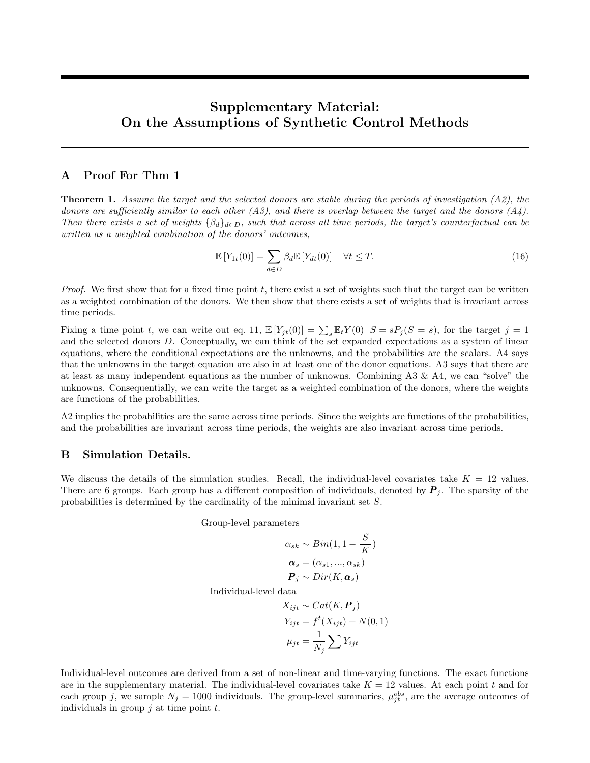# Supplementary Material: On the Assumptions of Synthetic Control Methods

## <span id="page-11-0"></span>A Proof For Thm 1

Theorem [1.](#page-5-1) Assume the target and the selected donors are stable during the periods of investigation (A2), the donors are sufficiently similar to each other (A3), and there is overlap between the target and the donors  $(A_4)$ . Then there exists a set of weights  $\{\beta_d\}_{d\in D}$ , such that across all time periods, the target's counterfactual can be written as a weighted combination of the donors' outcomes,

$$
\mathbb{E}\left[Y_{1t}(0)\right] = \sum_{d \in D} \beta_d \mathbb{E}\left[Y_{dt}(0)\right] \quad \forall t \le T. \tag{16}
$$

*Proof.* We first show that for a fixed time point t, there exist a set of weights such that the target can be written as a weighted combination of the donors. We then show that there exists a set of weights that is invariant across time periods.

Fixing a time point t, we can write out [eq. 11,](#page-4-4)  $\mathbb{E}[Y_{jt}(0)] = \sum_{s} \mathbb{E}_t Y(0) | S = s P_j (S = s)$ , for the target  $j = 1$ and the selected donors D. Conceptually, we can think of the set expanded expectations as a system of linear equations, where the conditional expectations are the unknowns, and the probabilities are the scalars. A4 says that the unknowns in the target equation are also in at least one of the donor equations. A3 says that there are at least as many independent equations as the number of unknowns. Combining A3 & A4, we can "solve" the unknowns. Consequentially, we can write the target as a weighted combination of the donors, where the weights are functions of the probabilities.

A2 implies the probabilities are the same across time periods. Since the weights are functions of the probabilities, and the probabilities are invariant across time periods, the weights are also invariant across time periods.  $\Box$ 

## <span id="page-11-1"></span>B Simulation Details.

We discuss the details of the simulation studies. Recall, the individual-level covariates take  $K = 12$  values. There are 6 groups. Each group has a different composition of individuals, denoted by  $P_j$ . The sparsity of the probabilities is determined by the cardinality of the minimal invariant set S.

Group-level parameters

$$
\alpha_{sk} \sim Bin(1, 1 - \frac{|S|}{K})
$$

$$
\alpha_s = (\alpha_{s1}, ..., \alpha_{sk})
$$

$$
P_j \sim Dir(K, \alpha_s)
$$

Individual-level data

$$
X_{ijt} \sim Cat(K, \boldsymbol{P}_j)
$$
  
\n
$$
Y_{ijt} = f^t(X_{ijt}) + N(0, 1)
$$
  
\n
$$
\mu_{jt} = \frac{1}{N_j} \sum Y_{ijt}
$$

Individual-level outcomes are derived from a set of non-linear and time-varying functions. The exact functions are in the supplementary material. The individual-level covariates take  $K = 12$  values. At each point t and for each group j, we sample  $N_j = 1000$  individuals. The group-level summaries,  $\mu_{jt}^{obs}$ , are the average outcomes of individuals in group  $j$  at time point  $t$ .